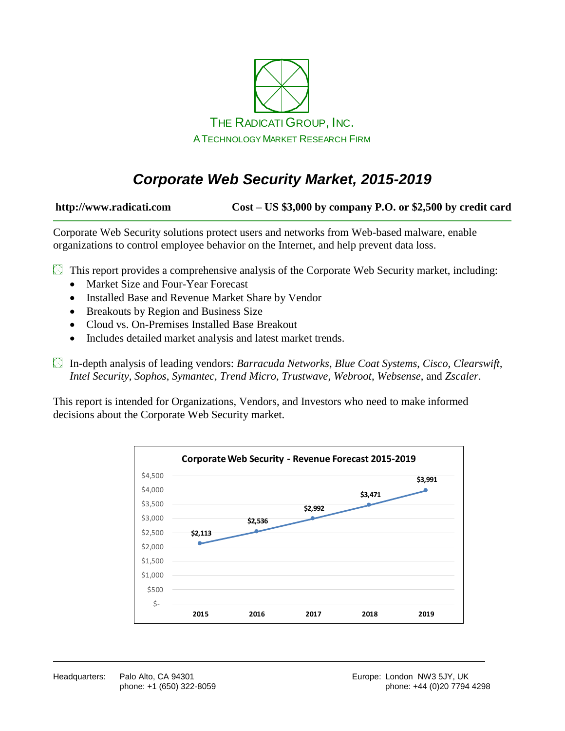

# *Corporate Web Security Market, 2015-2019*

**http://www.radicati.com Cost – US \$3,000 by company P.O. or \$2,500 by credit card**

Corporate Web Security solutions protect users and networks from Web-based malware, enable organizations to control employee behavior on the Internet, and help prevent data loss.

 $\boxtimes$  This report provides a comprehensive analysis of the Corporate Web Security market, including:

- Market Size and Four-Year Forecast
- Installed Base and Revenue Market Share by Vendor
- Breakouts by Region and Business Size
- Cloud vs. On-Premises Installed Base Breakout
- Includes detailed market analysis and latest market trends.

In-depth analysis of leading vendors: *Barracuda Networks*, *Blue Coat Systems*, *Cisco*, *Clearswift, Intel Security*, *Sophos*, *Symantec, Trend Micro*, *Trustwave*, *Webroot*, *Websense*, and *Zscaler*.

This report is intended for Organizations, Vendors, and Investors who need to make informed decisions about the Corporate Web Security market.

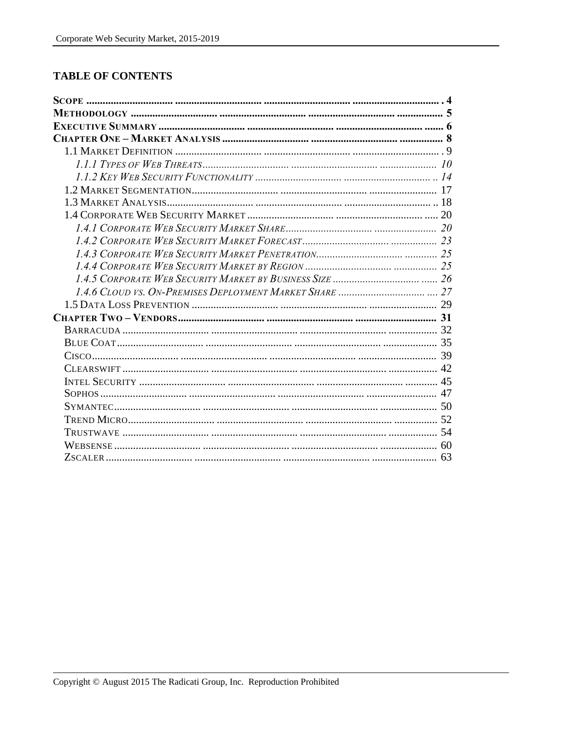### **TABLE OF CONTENTS**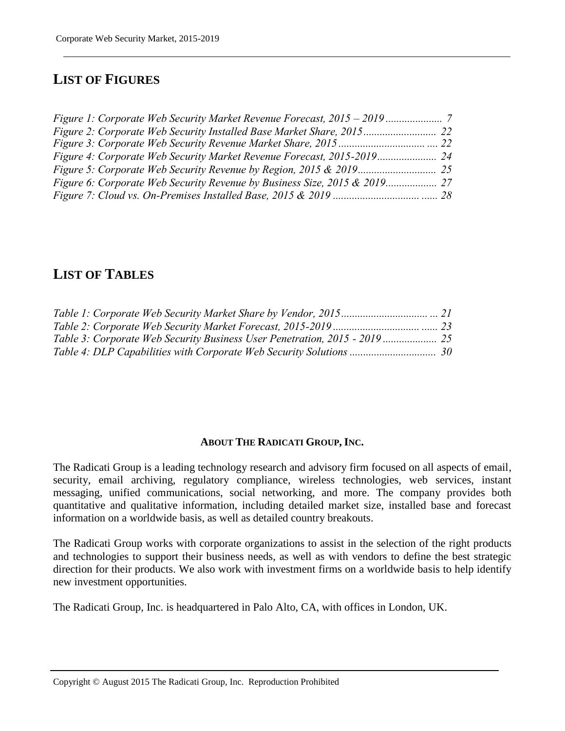# **LIST OF FIGURES**

## **LIST OF TABLES**

#### **ABOUT THE RADICATI GROUP, INC.**

The Radicati Group is a leading technology research and advisory firm focused on all aspects of email, security, email archiving, regulatory compliance, wireless technologies, web services, instant messaging, unified communications, social networking, and more. The company provides both quantitative and qualitative information, including detailed market size, installed base and forecast information on a worldwide basis, as well as detailed country breakouts.

The Radicati Group works with corporate organizations to assist in the selection of the right products and technologies to support their business needs, as well as with vendors to define the best strategic direction for their products. We also work with investment firms on a worldwide basis to help identify new investment opportunities.

The Radicati Group, Inc. is headquartered in Palo Alto, CA, with offices in London, UK.